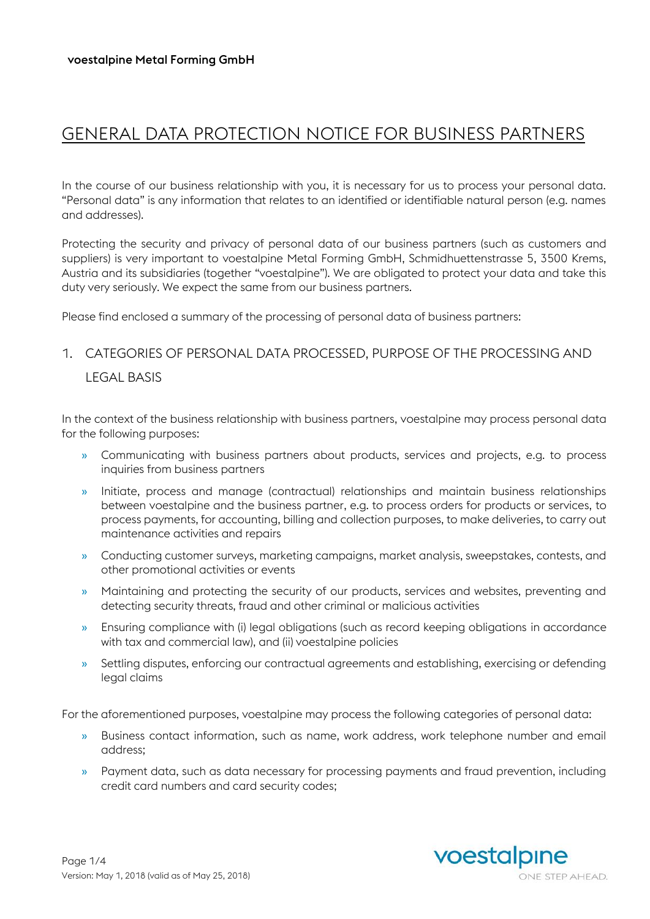# GENERAL DATA PROTECTION NOTICE FOR BUSINESS PARTNERS

In the course of our business relationship with you, it is necessary for us to process your personal data. "Personal data" is any information that relates to an identified or identifiable natural person (e.g. names and addresses).

Protecting the security and privacy of personal data of our business partners (such as customers and suppliers) is very important to voestalpine Metal Forming GmbH, Schmidhuettenstrasse 5, 3500 Krems, Austria and its subsidiaries (together "voestalpine"). We are obligated to protect your data and take this duty very seriously. We expect the same from our business partners.

Please find enclosed a summary of the processing of personal data of business partners:

## 1. CATEGORIES OF PERSONAL DATA PROCESSED, PURPOSE OF THE PROCESSING AND LEGAL BASIS

In the context of the business relationship with business partners, voestalpine may process personal data for the following purposes:

- » Communicating with business partners about products, services and projects, e.g. to process inquiries from business partners
- » Initiate, process and manage (contractual) relationships and maintain business relationships between voestalpine and the business partner, e.g. to process orders for products or services, to process payments, for accounting, billing and collection purposes, to make deliveries, to carry out maintenance activities and repairs
- » Conducting customer surveys, marketing campaigns, market analysis, sweepstakes, contests, and other promotional activities or events
- » Maintaining and protecting the security of our products, services and websites, preventing and detecting security threats, fraud and other criminal or malicious activities
- » Ensuring compliance with (i) legal obligations (such as record keeping obligations in accordance with tax and commercial law), and (ii) voestalpine policies
- » Settling disputes, enforcing our contractual agreements and establishing, exercising or defending legal claims

For the aforementioned purposes, voestalpine may process the following categories of personal data:

- » Business contact information, such as name, work address, work telephone number and email address;
- » Payment data, such as data necessary for processing payments and fraud prevention, including credit card numbers and card security codes;

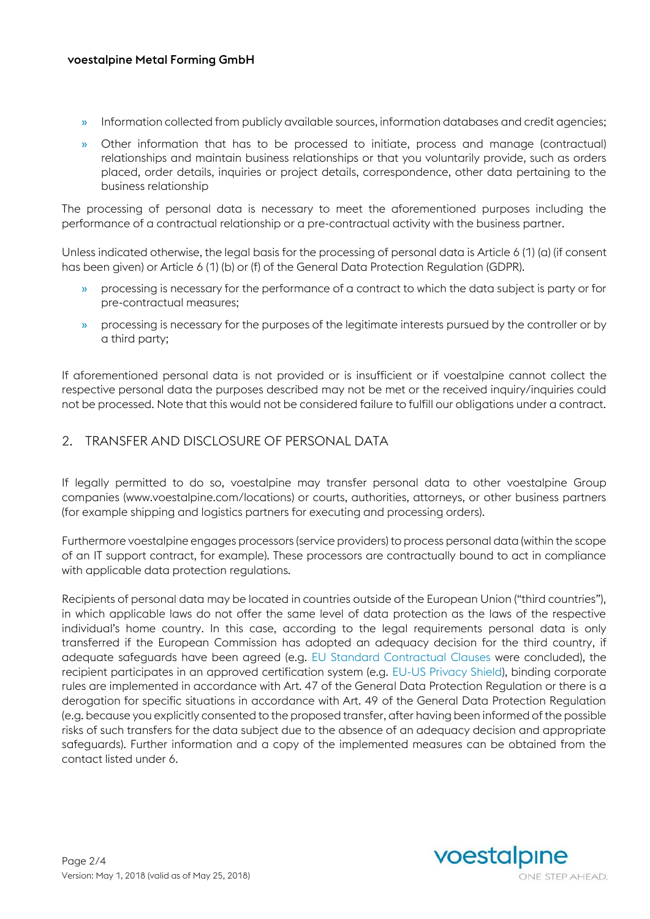#### voestalpine Metal Forming GmbH

- » Information collected from publicly available sources, information databases and credit agencies;
- » Other information that has to be processed to initiate, process and manage (contractual) relationships and maintain business relationships or that you voluntarily provide, such as orders placed, order details, inquiries or project details, correspondence, other data pertaining to the business relationship

The processing of personal data is necessary to meet the aforementioned purposes including the performance of a contractual relationship or a pre-contractual activity with the business partner.

Unless indicated otherwise, the legal basis for the processing of personal data is Article 6 (1) (a) (if consent has been given) or Article 6 (1) (b) or (f) of the General Data Protection Regulation (GDPR).

- » processing is necessary for the performance of a contract to which the data subject is party or for pre-contractual measures;
- » processing is necessary for the purposes of the legitimate interests pursued by the controller or by a third party;

If aforementioned personal data is not provided or is insufficient or if voestalpine cannot collect the respective personal data the purposes described may not be met or the received inquiry/inquiries could not be processed. Note that this would not be considered failure to fulfill our obligations under a contract.

#### 2. TRANSFER AND DISCLOSURE OF PERSONAL DATA

If legally permitted to do so, voestalpine may transfer personal data to other voestalpine Group companies [\(www.voestalpine.com/locations\)](http://www.voestalpine.com/locations) or courts, authorities, attorneys, or other business partners (for example shipping and logistics partners for executing and processing orders).

Furthermore voestalpine engages processors (service providers) to process personal data (within the scope of an IT support contract, for example). These processors are contractually bound to act in compliance with applicable data protection regulations.

Recipients of personal data may be located in countries outside of the European Union ("third countries"), in which applicable laws do not offer the same level of data protection as the laws of the respective individual's home country. In this case, according to the legal requirements personal data is only transferred if the European Commission has adopted an adequacy decision for the third country, if adequate safeguards have been agreed (e.g. [EU Standard Contractual Clauses](https://ec.europa.eu/info/law/law-topic/data-protection/data-transfers-outside-eu/model-contracts-transfer-personal-data-third-countries_en) were concluded), the recipient participates in an approved certification system (e.g. [EU-US Privacy Shield\)](https://www.privacyshield.gov/welcome), binding corporate rules are implemented in accordance with Art. 47 of the General Data Protection Regulation or there is a derogation for specific situations in accordance with Art. 49 of the General Data Protection Regulation (e.g. because you explicitly consented to the proposed transfer, after having been informed of the possible risks of such transfers for the data subject due to the absence of an adequacy decision and appropriate safeguards). Further information and a copy of the implemented measures can be obtained from the contact listed under 6.

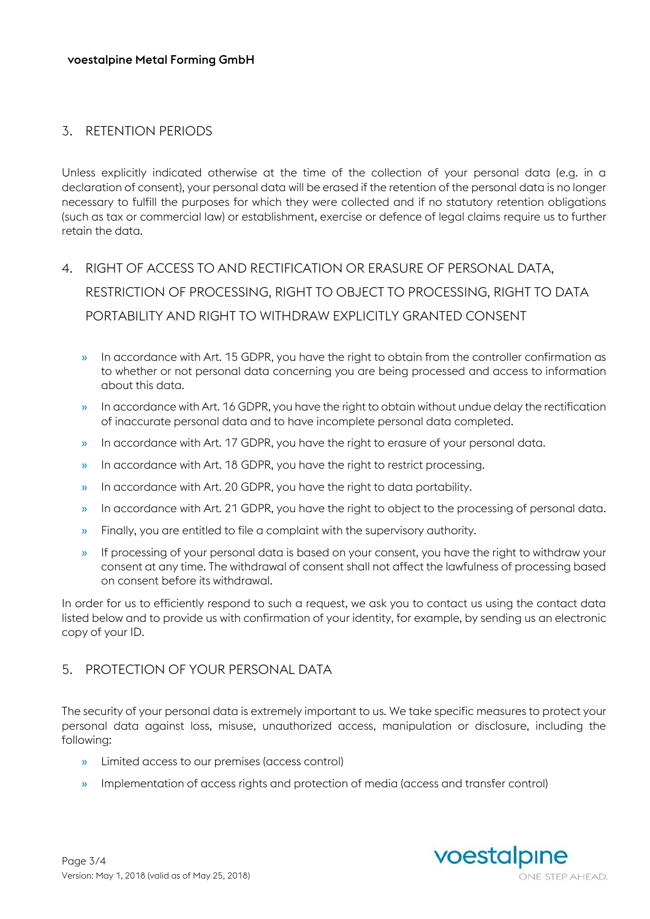### 3. RETENTION PERIODS

Unless explicitly indicated otherwise at the time of the collection of your personal data (e.g. in a declaration of consent), your personal data will be erased if the retention of the personal data is no longer necessary to fulfill the purposes for which they were collected and if no statutory retention obligations (such as tax or commercial law) or establishment, exercise or defence of legal claims require us to further retain the data.

- 4. RIGHT OF ACCESS TO AND RECTIFICATION OR ERASURE OF PERSONAL DATA, RESTRICTION OF PROCESSING, RIGHT TO OBJECT TO PROCESSING, RIGHT TO DATA PORTABILITY AND RIGHT TO WITHDRAW FXPLICITLY GRANTED CONSENT
	- » In accordance with Art. 15 GDPR, you have the right to obtain from the controller confirmation as to whether or not personal data concerning you are being processed and access to information about this data.
	- » In accordance with Art. 16 GDPR, you have the right to obtain without undue delay the rectification of inaccurate personal data and to have incomplete personal data completed.
	- » In accordance with Art. 17 GDPR, you have the right to erasure of your personal data.
	- » In accordance with Art. 18 GDPR, you have the right to restrict processing.
	- » In accordance with Art. 20 GDPR, you have the right to data portability.
	- » In accordance with Art. 21 GDPR, you have the right to object to the processing of personal data.
	- » Finally, you are entitled to file a complaint with the supervisory authority.
	- » If processing of your personal data is based on your consent, you have the right to withdraw your consent at any time. The withdrawal of consent shall not affect the lawfulness of processing based on consent before its withdrawal.

In order for us to efficiently respond to such a request, we ask you to contact us using the contact data listed below and to provide us with confirmation of your identity, for example, by sending us an electronic copy of your ID.

## 5. PROTECTION OF YOUR PERSONAL DATA

The security of your personal data is extremely important to us. We take specific measures to protect your personal data against loss, misuse, unauthorized access, manipulation or disclosure, including the following:

- » Limited access to our premises (access control)
- » Implementation of access rights and protection of media (access and transfer control)